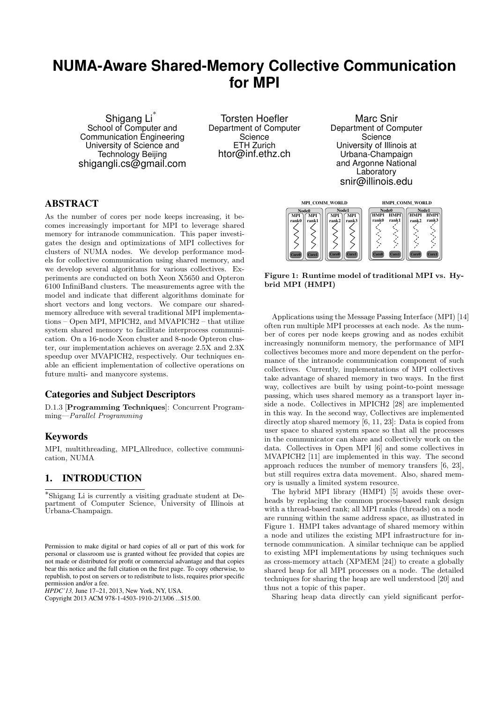# **NUMA-Aware Shared-Memory Collective Communication for MPI**

Shigang Li<sup>\*</sup> School of Computer and Communication Engineering University of Science and Technology Beijing shigangli.cs@gmail.com

Torsten Hoefler Department of Computer **Science** ETH Zurich htor@inf.ethz.ch

> **Node0**  $\frac{v}{M}$

**MPI**

Marc Snir Department of Computer **Science** University of Illinois at Urbana-Champaign and Argonne National Laboratory snir@illinois.edu

**Node0 HMPI**

**Node1 HMPI**

**HMPI**

**HMPI**

# ABSTRACT

As the number of cores per node keeps increasing, it becomes increasingly important for MPI to leverage shared memory for intranode communication. This paper investigates the design and optimizations of MPI collectives for clusters of NUMA nodes. We develop performance models for collective communication using shared memory, and we develop several algorithms for various collectives. Experiments are conducted on both Xeon X5650 and Opteron 6100 InfiniBand clusters. The measurements agree with the model and indicate that different algorithms dominate for short vectors and long vectors. We compare our sharedmemory allreduce with several traditional MPI implementations – Open MPI, MPICH2, and MVAPICH2 – that utilize system shared memory to facilitate interprocess communication. On a 16-node Xeon cluster and 8-node Opteron cluster, our implementation achieves on average 2.5X and 2.3X speedup over MVAPICH2, respectively. Our techniques enable an efficient implementation of collective operations on future multi- and manycore systems.

# Categories and Subject Descriptors

D.1.3 [Programming Techniques]: Concurrent Programming—Parallel Programming

## Keywords

MPI, multithreading, MPLAllreduce, collective communication, NUMA

# 1. INTRODUCTION

∗ Shigang Li is currently a visiting graduate student at Department of Computer Science, University of Illinois at Urbana-Champaign.

Permission to make digital or hard copies of all or part of this work for personal or classroom use is granted without fee provided that copies are not made or distributed for profit or commercial advantage and that copies bear this notice and the full citation on the first page. To copy otherwise, to republish, to post on servers or to redistribute to lists, requires prior specific permission and/or a fee.

*HPDC'13,* June 17–21, 2013, New York, NY, USA.

Copyright 2013 ACM 978-1-4503-1910-2/13/06 ...\$15.00.



**MPI\_COMM\_WORLD HMPI\_COMM\_WORLD**

**Node1 MPI**

**MPI**

Applications using the Message Passing Interface (MPI) [14] often run multiple MPI processes at each node. As the number of cores per node keeps growing and as nodes exhibit increasingly nonuniform memory, the performance of MPI collectives becomes more and more dependent on the performance of the intranode communication component of such collectives. Currently, implementations of MPI collectives take advantage of shared memory in two ways. In the first way, collectives are built by using point-to-point message passing, which uses shared memory as a transport layer inside a node. Collectives in MPICH2 [28] are implemented in this way. In the second way, Collectives are implemented directly atop shared memory [6, 11, 23]: Data is copied from user space to shared system space so that all the processes in the communicator can share and collectively work on the data. Collectives in Open MPI [6] and some collectives in MVAPICH2 [11] are implemented in this way. The second approach reduces the number of memory transfers [6, 23], but still requires extra data movement. Also, shared memory is usually a limited system resource.

The hybrid MPI library (HMPI) [5] avoids these overheads by replacing the common process-based rank design with a thread-based rank; all MPI ranks (threads) on a node are running within the same address space, as illustrated in Figure 1. HMPI takes advantage of shared memory within a node and utilizes the existing MPI infrastructure for internode communication. A similar technique can be applied to existing MPI implementations by using techniques such as cross-memory attach (XPMEM [24]) to create a globally shared heap for all MPI processes on a node. The detailed techniques for sharing the heap are well understood [20] and thus not a topic of this paper.

Sharing heap data directly can yield significant perfor-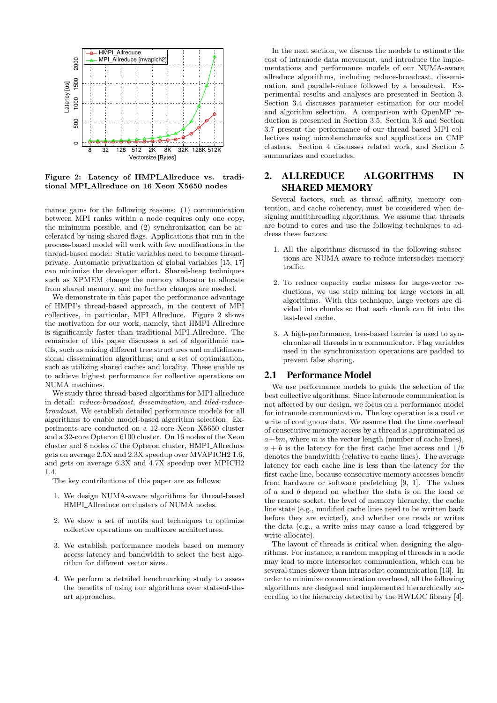

Figure 2: Latency of HMPI\_Allreduce vs. traditional MPI\_Allreduce on 16 Xeon X5650 nodes

mance gains for the following reasons: (1) communication between MPI ranks within a node requires only one copy, the minimum possible, and (2) synchronization can be accelerated by using shared flags. Applications that run in the process-based model will work with few modifications in the thread-based model: Static variables need to become threadprivate. Automatic privatization of global variables [15, 17] can minimize the developer effort. Shared-heap techniques such as XPMEM change the memory allocator to allocate from shared memory, and no further changes are needed.

We demonstrate in this paper the performance advantage of HMPI's thread-based approach, in the context of MPI collectives, in particular, MPI Allreduce. Figure 2 shows the motivation for our work, namely, that HMPI\_Allreduce is significantly faster than traditional MPI Allreduce. The remainder of this paper discusses a set of algorithmic motifs, such as mixing different tree structures and multidimensional dissemination algorithms; and a set of optimization, such as utilizing shared caches and locality. These enable us to achieve highest performance for collective operations on NUMA machines.

We study three thread-based algorithms for MPI allreduce in detail: reduce-broadcast, dissemination, and tiled-reducebroadcast. We establish detailed performance models for all algorithms to enable model-based algorithm selection. Experiments are conducted on a 12-core Xeon X5650 cluster and a 32-core Opteron 6100 cluster. On 16 nodes of the Xeon cluster and 8 nodes of the Opteron cluster, HMPI\_Allreduce gets on average 2.5X and 2.3X speedup over MVAPICH2 1.6, and gets on average 6.3X and 4.7X speedup over MPICH2 1.4.

The key contributions of this paper are as follows:

- 1. We design NUMA-aware algorithms for thread-based HMPI\_Allreduce on clusters of NUMA nodes.
- 2. We show a set of motifs and techniques to optimize collective operations on multicore architectures.
- 3. We establish performance models based on memory access latency and bandwidth to select the best algorithm for different vector sizes.
- 4. We perform a detailed benchmarking study to assess the benefits of using our algorithms over state-of-theart approaches.

In the next section, we discuss the models to estimate the cost of intranode data movement, and introduce the implementations and performance models of our NUMA-aware allreduce algorithms, including reduce-broadcast, dissemination, and parallel-reduce followed by a broadcast. Experimental results and analyses are presented in Section 3. Section 3.4 discusses parameter estimation for our model and algorithm selection. A comparison with OpenMP reduction is presented in Section 3.5. Section 3.6 and Section 3.7 present the performance of our thread-based MPI collectives using microbenchmarks and applications on CMP clusters. Section 4 discusses related work, and Section 5 summarizes and concludes.

# 2. ALLREDUCE ALGORITHMS IN SHARED MEMORY

Several factors, such as thread affinity, memory contention, and cache coherency, must be considered when designing multithreading algorithms. We assume that threads are bound to cores and use the following techniques to address these factors:

- 1. All the algorithms discussed in the following subsections are NUMA-aware to reduce intersocket memory traffic.
- 2. To reduce capacity cache misses for large-vector reductions, we use strip mining for large vectors in all algorithms. With this technique, large vectors are divided into chunks so that each chunk can fit into the last-level cache.
- 3. A high-performance, tree-based barrier is used to synchronize all threads in a communicator. Flag variables used in the synchronization operations are padded to prevent false sharing.

#### 2.1 Performance Model

We use performance models to guide the selection of the best collective algorithms. Since internode communication is not affected by our design, we focus on a performance model for intranode communication. The key operation is a read or write of contiguous data. We assume that the time overhead of consecutive memory access by a thread is approximated as  $a+bm$ , where m is the vector length (number of cache lines),  $a + b$  is the latency for the first cache line access and  $1/b$ denotes the bandwidth (relative to cache lines). The average latency for each cache line is less than the latency for the first cache line, because consecutive memory accesses benefit from hardware or software prefetching [9, 1]. The values of a and b depend on whether the data is on the local or the remote socket, the level of memory hierarchy, the cache line state (e.g., modified cache lines need to be written back before they are evicted), and whether one reads or writes the data (e.g., a write miss may cause a load triggered by write-allocate).

The layout of threads is critical when designing the algorithms. For instance, a random mapping of threads in a node may lead to more intersocket communication, which can be several times slower than intrasocket communication [13]. In order to minimize communication overhead, all the following algorithms are designed and implemented hierarchically according to the hierarchy detected by the HWLOC library [4],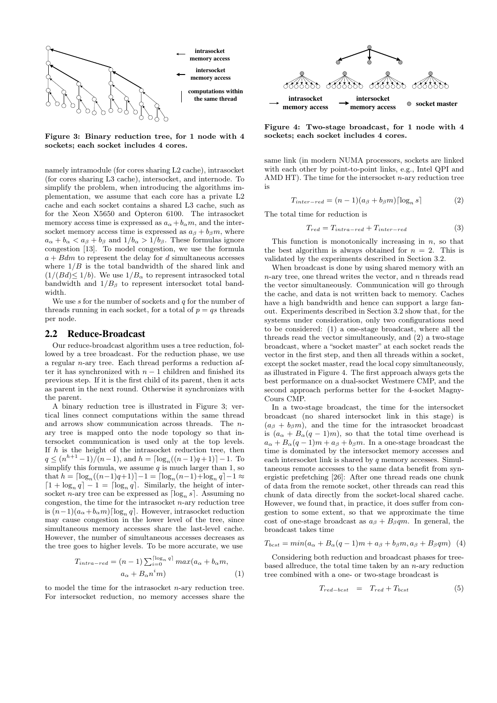

Figure 3: Binary reduction tree, for 1 node with 4 sockets; each socket includes 4 cores.

namely intramodule (for cores sharing L2 cache), intrasocket (for cores sharing L3 cache), intersocket, and internode. To simplify the problem, when introducing the algorithms implementation, we assume that each core has a private L2 cache and each socket contains a shared L3 cache, such as for the Xeon X5650 and Opteron 6100. The intrasocket memory access time is expressed as  $a_{\alpha} + b_{\alpha} m$ , and the intersocket memory access time is expressed as  $a_{\beta} + b_{\beta} m$ , where  $a_{\alpha} + b_{\alpha} < a_{\beta} + b_{\beta}$  and  $1/b_{\alpha} > 1/b_{\beta}$ . These formulas ignore congestion [13]. To model congestion, we use the formula  $a + Bdm$  to represent the delay for d simultaneous accesses where  $1/B$  is the total bandwidth of the shared link and  $(1/(Bd)\leq 1/b)$ . We use  $1/B_{\alpha}$  to represent intrasocked total bandwidth and  $1/B_{\beta}$  to represent intersocket total bandwidth.

We use  $s$  for the number of sockets and  $q$  for the number of threads running in each socket, for a total of  $p = qs$  threads per node.

## 2.2 Reduce-Broadcast

Our reduce-broadcast algorithm uses a tree reduction, followed by a tree broadcast. For the reduction phase, we use a regular n-ary tree. Each thread performs a reduction after it has synchronized with  $n-1$  children and finished its previous step. If it is the first child of its parent, then it acts as parent in the next round. Otherwise it synchronizes with the parent.

A binary reduction tree is illustrated in Figure 3; vertical lines connect computations within the same thread and arrows show communication across threads. The nary tree is mapped onto the node topology so that intersocket communication is used only at the top levels. If  $h$  is the height of the intrasocket reduction tree, then  $q \leq (n^{h+1}-1)/(n-1)$ , and  $h = \lceil \log_n((n-1)q + 1) \rceil - 1$ . To simplify this formula, we assume  $q$  is much larger than 1, so that  $h = \lceil \log_n((n-1)q+1) \rceil - 1 = \lceil \log_n(n-1) + \log_n q \rceil - 1 \approx$  $\left[1 + \log_n q\right] - 1 = \left[\log_n q\right]$ . Similarly, the height of intersocket n-ary tree can be expressed as  $\lceil \log_n s \rceil$ . Assuming no congestion, the time for the intrasocket  $n$ -ary reduction tree is  $(n-1)(a_{\alpha}+b_{\alpha}m)\lceil \log_n q \rceil$ . However, intrasocket reduction may cause congestion in the lower level of the tree, since simultaneous memory accesses share the last-level cache. However, the number of simultaneous accesses decreases as the tree goes to higher levels. To be more accurate, we use

$$
T_{intra-red} = (n-1) \sum_{i=0}^{\lceil \log_n q \rceil} \max(a_\alpha + b_\alpha m, a_\alpha + B_\alpha n^i m)
$$
 (1)

to model the time for the intrasocket  $n$ -ary reduction tree. For intersocket reduction, no memory accesses share the



Figure 4: Two-stage broadcast, for 1 node with 4 sockets; each socket includes 4 cores.

same link (in modern NUMA processors, sockets are linked with each other by point-to-point links, e.g., Intel QPI and AMD HT). The time for the intersocket  $n$ -ary reduction tree is

$$
T_{inter-red} = (n-1)(a_{\beta} + b_{\beta}m) \lceil \log_n s \rceil \tag{2}
$$

The total time for reduction is

$$
T_{red} = T_{intra-red} + T_{inter-red} \tag{3}
$$

This function is monotonically increasing in  $n$ , so that the best algorithm is always obtained for  $n = 2$ . This is validated by the experiments described in Section 3.2.

When broadcast is done by using shared memory with an  $n$ -ary tree, one thread writes the vector, and  $n$  threads read the vector simultaneously. Communication will go through the cache, and data is not written back to memory. Caches have a high bandwidth and hence can support a large fanout. Experiments described in Section 3.2 show that, for the systems under consideration, only two configurations need to be considered: (1) a one-stage broadcast, where all the threads read the vector simultaneously, and (2) a two-stage broadcast, where a "socket master" at each socket reads the vector in the first step, and then all threads within a socket, except the socket master, read the local copy simultaneously, as illustrated in Figure 4. The first approach always gets the best performance on a dual-socket Westmere CMP, and the second approach performs better for the 4-socket Magny-Cours CMP.

In a two-stage broadcast, the time for the intersocket broadcast (no shared intersocket link in this stage) is  $(a<sub>\beta</sub> + b<sub>\beta</sub>m)$ , and the time for the intrasocket broadcast is  $(a_{\alpha} + B_{\alpha}(q-1)m)$ , so that the total time overhead is  $a_{\alpha} + B_{\alpha}(q-1)m + a_{\beta} + b_{\beta}m$ . In a one-stage broadcast the time is dominated by the intersocket memory accesses and each intersocket link is shared by  $q$  memory accesses. Simultaneous remote accesses to the same data benefit from synergistic prefetching [26]: After one thread reads one chunk of data from the remote socket, other threads can read this chunk of data directly from the socket-local shared cache. However, we found that, in practice, it does suffer from congestion to some extent, so that we approximate the time cost of one-stage broadcast as  $a<sub>\beta</sub> + B<sub>\beta</sub>qm$ . In general, the broadcast takes time

$$
T_{best} = min(a_{\alpha} + B_{\alpha}(q-1)m + a_{\beta} + b_{\beta}m, a_{\beta} + B_{\beta}qm)
$$
 (4)

Considering both reduction and broadcast phases for treebased allreduce, the total time taken by an  $n$ -ary reduction tree combined with a one- or two-stage broadcast is

$$
T_{red-bcst} = T_{red} + T_{best} \tag{5}
$$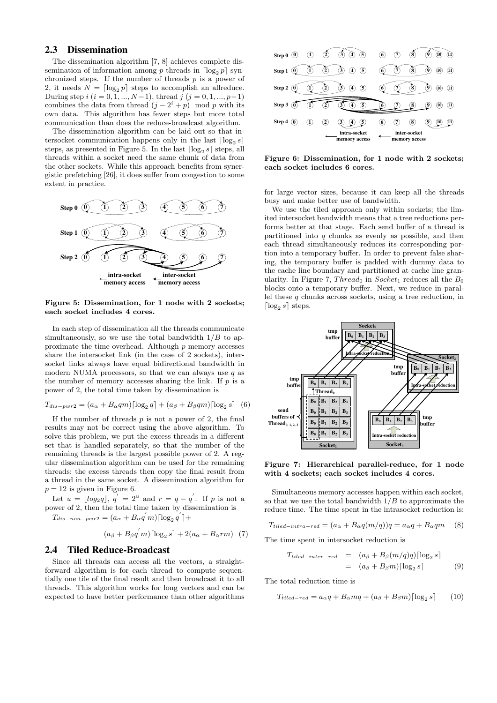## 2.3 Dissemination

The dissemination algorithm [7, 8] achieves complete dissemination of information among p threads in  $\lceil \log_2 p \rceil$  synchronized steps. If the number of threads  $p$  is a power of 2, it needs  $N = \lceil \log_2 p \rceil$  steps to accomplish an allreduce. During step  $i$   $(i = 0, 1, ..., N-1)$ , thread  $j$   $(j = 0, 1, ..., p-1)$ combines the data from thread  $(j - 2^i + p)$  mod p with its own data. This algorithm has fewer steps but more total communication than does the reduce-broadcast algorithm.

The dissemination algorithm can be laid out so that intersocket communication happens only in the last  $\lceil \log_2 s \rceil$ steps, as presented in Figure 5. In the last  $\lceil \log_2 s \rceil$  steps, all threads within a socket need the same chunk of data from the other sockets. While this approach benefits from synergistic prefetching [26], it does suffer from congestion to some extent in practice.



Figure 5: Dissemination, for 1 node with 2 sockets; each socket includes 4 cores.

In each step of dissemination all the threads communicate simultaneously, so we use the total bandwidth  $1/B$  to approximate the time overhead. Although  $p$  memory accesses share the intersocket link (in the case of 2 sockets), intersocket links always have equal bidirectional bandwidth in modern NUMA processors, so that we can always use  $q$  as the number of memory accesses sharing the link. If  $p$  is a power of 2, the total time taken by dissemination is

$$
T_{dis-pwr2} = (a_{\alpha} + B_{\alpha}qm) [\log_2 q] + (a_{\beta} + B_{\beta}qm) [\log_2 s]
$$
 (6)

If the number of threads  $p$  is not a power of 2, the final results may not be correct using the above algorithm. To solve this problem, we put the excess threads in a different set that is handled separately, so that the number of the remaining threads is the largest possible power of 2. A regular dissemination algorithm can be used for the remaining threads; the excess threads then copy the final result from a thread in the same socket. A dissemination algorithm for  $p = 12$  is given in Figure 6.

Let  $u = \lfloor log_2 q \rfloor$ ,  $q' = 2^u$  and  $r = q - q'$ . If p is not a power of 2, then the total time taken by dissemination is  $T_{dis-non-pwr2} = (a_\alpha + B_\alpha q'm) \lceil \log_2 q' \rceil +$ 

$$
(a_{\beta} + B_{\beta} q^{'} m) [\log_2 s] + 2(a_{\alpha} + B_{\alpha} rm) \quad (7)
$$

#### 2.4 Tiled Reduce-Broadcast

Since all threads can access all the vectors, a straightforward algorithm is for each thread to compute sequentially one tile of the final result and then broadcast it to all threads. This algorithm works for long vectors and can be expected to have better performance than other algorithms



Figure 6: Dissemination, for 1 node with 2 sockets; each socket includes 6 cores.

for large vector sizes, because it can keep all the threads busy and make better use of bandwidth.

We use the tiled approach only within sockets; the limited intersocket bandwidth means that a tree reductions performs better at that stage. Each send buffer of a thread is partitioned into  $q$  chunks as evenly as possible, and then each thread simultaneously reduces its corresponding portion into a temporary buffer. In order to prevent false sharing, the temporary buffer is padded with dummy data to the cache line boundary and partitioned at cache line granularity. In Figure 7, Thread<sub>0</sub> in Socket<sub>1</sub> reduces all the  $B_0$ blocks onto a temporary buffer. Next, we reduce in parallel these  $q$  chunks across sockets, using a tree reduction, in  $\lceil \log_2 s \rceil$  steps.



Figure 7: Hierarchical parallel-reduce, for 1 node with 4 sockets; each socket includes 4 cores.

Simultaneous memory accesses happen within each socket, so that we use the total bandwidth  $1/B$  to approximate the reduce time. The time spent in the intrasocket reduction is:

$$
T_{tiled-intra-red} = (a_{\alpha} + B_{\alpha}q(m/q))q = a_{\alpha}q + B_{\alpha}qm \quad (8)
$$

The time spent in intersocket reduction is

$$
T_{tiled-inter-red} = (a_{\beta} + B_{\beta}(m/q)q) [\log_2 s]
$$
  
=  $(a_{\beta} + B_{\beta}m) [\log_2 s]$  (9)

The total reduction time is

$$
T_{tiled-red} = a_{\alpha}q + B_{\alpha}mq + (a_{\beta} + B_{\beta}m)[\log_2 s] \qquad (10)
$$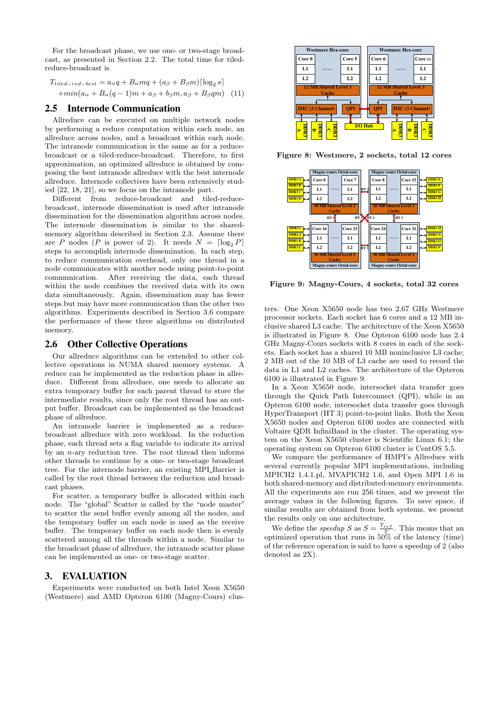For the broadcast phase, we use one- or two-stage broadcast, as presented in Section 2.2. The total time for tiledreduce-broadcast is

$$
T_{tiled-red-bcst} = a_{\alpha}q + B_{\alpha}mq + (a_{\beta} + B_{\beta}m)[\log_2 s]
$$

$$
+ min(a_{\alpha} + B_{\alpha}(q-1)m + a_{\beta} + b_{\beta}m, a_{\beta} + B_{\beta}qm) \quad (11)
$$

## 2.5 Internode Communication

Allreduce can be executed on multiple network nodes by performing a reduce computation within each node, an allreduce across nodes, and a broadcast within each node. The intranode communication is the same as for a reducebroadcast or a tiled-reduce-broadcast. Therefore, to first approximation, an optimized allreduce is obtained by composing the best intranode allreduce with the best internode allreduce. Internode collectives have been extensively studied [22, 18, 21], so we focus on the intranode part.

Different from reduce-broadcast and tiled-reducebroadcast, internode dissemination is used after intranode dissemination for the dissemination algorithm across nodes. The internode dissemination is similar to the sharedmemory algorithm described in Section 2.3. Assume there are P nodes (P is power of 2). It needs  $N = \lceil \log_2 P \rceil$ steps to accomplish internode dissemination. In each step, to reduce communication overhead, only one thread in a node communicates with another node using point-to-point communication. After receiving the data, each thread within the node combines the received data with its own data simultaneously. Again, dissemination may has fewer steps but may have more communication than the other two algorithms. Experiments described in Section 3.6 compare the performance of these three algorithms on distributed memory.

#### 2.6 Other Collective Operations

Our allreduce algorithms can be extended to other collective operations in NUMA shared memory systems. reduce can be implemented as the reduction phase in allreduce. Different from allreduce, one needs to allocate an extra temporary buffer for each parent thread to store the intermediate results, since only the root thread has an output buffer. Broadcast can be implemented as the broadcast phase of allreduce.

An intranode barrier is implemented as a reducebroadcast allreduce with zero workload. In the reduction phase, each thread sets a flag variable to indicate its arrival by an n-ary reduction tree. The root thread then informs other threads to continue by a one- or two-stage broadcast tree. For the internode barrier, an existing MPI\_Barrier is called by the root thread between the reduction and broadcast phases.

For scatter, a temporary buffer is allocated within each node. The "global" Scatter is called by the "node master" to scatter the send buffer evenly among all the nodes, and the temporary buffer on each node is used as the receive buffer. The temporary buffer on each node then is evenly scattered among all the threads within a node. Similar to the broadcast phase of allreduce, the intranode scatter phase can be implemented as one- or two-stage scatter.

#### 3. EVALUATION

Experiments were conducted on both Intel Xeon X5650 (Westmere) and AMD Opteron 6100 (Magny-Cours) clus-



Figure 8: Westmere, 2 sockets, total 12 cores



Figure 9: Magny-Cours, 4 sockets, total 32 cores

ters. One Xeon X5650 node has two 2.67 GHz Westmere processor sockets. Each socket has 6 cores and a 12 MB inclusive shared L3 cache. The architecture of the Xeon X5650 is illustrated in Figure 8. One Opteron 6100 node has 2.4 GHz Magny-Cours sockets with 8 cores in each of the sockets. Each socket has a shared 10 MB noninclusive L3 cache; 2 MB out of the 10 MB of L3 cache are used to record the data in L1 and L2 caches. The architecture of the Opteron 6100 is illustrated in Figure 9.

In a Xeon X5650 node, intersocket data transfer goes through the Quick Path Interconnect (QPI), while in an Opteron 6100 node, intersocket data transfer goes through HyperTransport (HT 3) point-to-point links. Both the Xeon X5650 nodes and Opteron 6100 nodes are connected with Voltaire QDR InfiniBand in the cluster. The operating system on the Xeon X5650 cluster is Scientific Linux 6.1; the operating system on Opteron 6100 cluster is CentOS 5.5.

We compare the performance of HMPI's Allreduce with several currently popular MPI implementations, including MPICH2 1.4.1.pl, MVAPICH2 1.6, and Open MPI 1.6 in both shared-memory and distributed-memory environments. All the experiments are run 256 times, and we present the average values in the following figures. To save space, if similar results are obtained from both systems, we present the results only on one architecture.

We define the *speedup* S as  $S = \frac{T_{ref}}{T}$ . This means that an optimized operation that runs in 50% of the latency (time) of the reference operation is said to have a speedup of 2 (also denoted as 2X).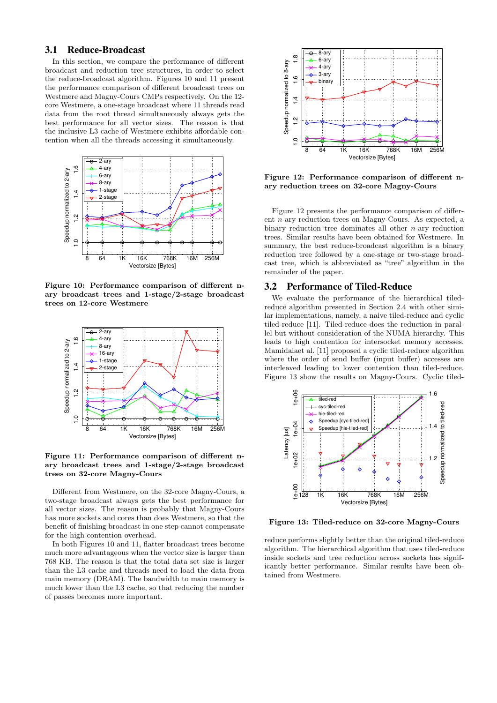## 3.1 Reduce-Broadcast

In this section, we compare the performance of different broadcast and reduction tree structures, in order to select the reduce-broadcast algorithm. Figures 10 and 11 present the performance comparison of different broadcast trees on Westmere and Magny-Cours CMPs respectively. On the 12 core Westmere, a one-stage broadcast where 11 threads read data from the root thread simultaneously always gets the best performance for all vector sizes. The reason is that the inclusive L3 cache of Westmere exhibits affordable contention when all the threads accessing it simultaneously.



Figure 10: Performance comparison of different nary broadcast trees and 1-stage/2-stage broadcast trees on 12-core Westmere



Figure 11: Performance comparison of different nary broadcast trees and 1-stage/2-stage broadcast trees on 32-core Magny-Cours

Different from Westmere, on the 32-core Magny-Cours, a two-stage broadcast always gets the best performance for all vector sizes. The reason is probably that Magny-Cours has more sockets and cores than does Westmere, so that the benefit of finishing broadcast in one step cannot compensate for the high contention overhead.

In both Figures 10 and 11, flatter broadcast trees become much more advantageous when the vector size is larger than 768 KB. The reason is that the total data set size is larger than the L3 cache and threads need to load the data from main memory (DRAM). The bandwidth to main memory is much lower than the L3 cache, so that reducing the number of passes becomes more important.



Figure 12: Performance comparison of different nary reduction trees on 32-core Magny-Cours

Figure 12 presents the performance comparison of different n-ary reduction trees on Magny-Cours. As expected, a binary reduction tree dominates all other n-ary reduction trees. Similar results have been obtained for Westmere. In summary, the best reduce-broadcast algorithm is a binary reduction tree followed by a one-stage or two-stage broadcast tree, which is abbreviated as "tree" algorithm in the remainder of the paper.

## 3.2 Performance of Tiled-Reduce

We evaluate the performance of the hierarchical tiledreduce algorithm presented in Section 2.4 with other similar implementations, namely, a naive tiled-reduce and cyclic tiled-reduce [11]. Tiled-reduce does the reduction in parallel but without consideration of the NUMA hierarchy. This leads to high contention for intersocket memory accesses. Mamidalaet al. [11] proposed a cyclic tiled-reduce algorithm where the order of send buffer (input buffer) accesses are interleaved leading to lower contention than tiled-reduce. Figure 13 show the results on Magny-Cours. Cyclic tiled-



Figure 13: Tiled-reduce on 32-core Magny-Cours

reduce performs slightly better than the original tiled-reduce algorithm. The hierarchical algorithm that uses tiled-reduce inside sockets and tree reduction across sockets has significantly better performance. Similar results have been obtained from Westmere.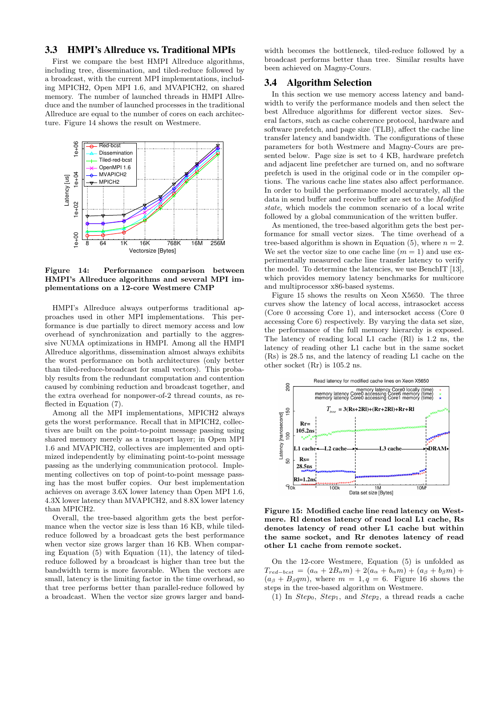## 3.3 HMPI's Allreduce vs. Traditional MPIs

First we compare the best HMPI Allreduce algorithms, including tree, dissemination, and tiled-reduce followed by a broadcast, with the current MPI implementations, including MPICH2, Open MPI 1.6, and MVAPICH2, on shared memory. The number of launched threads in HMPI Allreduce and the number of launched processes in the traditional Allreduce are equal to the number of cores on each architecture. Figure 14 shows the result on Westmere.



Figure 14: Performance comparison between HMPI's Allreduce algorithms and several MPI implementations on a 12-core Westmere CMP

HMPI's Allreduce always outperforms traditional approaches used in other MPI implementations. This performance is due partially to direct memory access and low overhead of synchronization and partially to the aggressive NUMA optimizations in HMPI. Among all the HMPI Allreduce algorithms, dissemination almost always exhibits the worst performance on both architectures (only better than tiled-reduce-broadcast for small vectors). This probably results from the redundant computation and contention caused by combining reduction and broadcast together, and the extra overhead for nonpower-of-2 thread counts, as reflected in Equation (7).

Among all the MPI implementations, MPICH2 always gets the worst performance. Recall that in MPICH2, collectives are built on the point-to-point message passing using shared memory merely as a transport layer; in Open MPI 1.6 and MVAPICH2, collectives are implemented and optimized independently by eliminating point-to-point message passing as the underlying communication protocol. Implementing collectives on top of point-to-point message passing has the most buffer copies. Our best implementation achieves on average 3.6X lower latency than Open MPI 1.6, 4.3X lower latency than MVAPICH2, and 8.8X lower latency than MPICH2.

Overall, the tree-based algorithm gets the best performance when the vector size is less than 16 KB, while tiledreduce followed by a broadcast gets the best performance when vector size grows larger than 16 KB. When comparing Equation (5) with Equation (11), the latency of tiledreduce followed by a broadcast is higher than tree but the bandwidth term is more favorable. When the vectors are small, latency is the limiting factor in the time overhead, so that tree performs better than parallel-reduce followed by a broadcast. When the vector size grows larger and band-

width becomes the bottleneck, tiled-reduce followed by a broadcast performs better than tree. Similar results have been achieved on Magny-Cours.

## 3.4 Algorithm Selection

In this section we use memory access latency and bandwidth to verify the performance models and then select the best Allreduce algorithms for different vector sizes. Several factors, such as cache coherence protocol, hardware and software prefetch, and page size (TLB), affect the cache line transfer latency and bandwidth. The configurations of these parameters for both Westmere and Magny-Cours are presented below. Page size is set to 4 KB, hardware prefetch and adjacent line prefetcher are turned on, and no software prefetch is used in the original code or in the compiler options. The various cache line states also affect performance. In order to build the performance model accurately, all the data in send buffer and receive buffer are set to the Modified state, which models the common scenario of a local write followed by a global communication of the written buffer.

As mentioned, the tree-based algorithm gets the best performance for small vector sizes. The time overhead of a tree-based algorithm is shown in Equation (5), where  $n = 2$ . We set the vector size to one cache line  $(m = 1)$  and use experimentally measured cache line transfer latency to verify the model. To determine the latencies, we use BenchIT [13], which provides memory latency benchmarks for multicore and multiprocessor x86-based systems.

Figure 15 shows the results on Xeon X5650. The three curves show the latency of local access, intrasocket access (Core 0 accessing Core 1), and intersocket access (Core 0 accessing Core 6) respectively. By varying the data set size, the performance of the full memory hierarchy is exposed. The latency of reading local L1 cache (Rl) is 1.2 ns, the latency of reading other L1 cache but in the same socket (Rs) is 28.5 ns, and the latency of reading L1 cache on the other socket (Rr) is 105.2 ns.



Figure 15: Modified cache line read latency on Westmere. Rl denotes latency of read local L1 cache, Rs denotes latency of read other L1 cache but within the same socket, and Rr denotes latency of read other L1 cache from remote socket.

On the 12-core Westmere, Equation (5) is unfolded as  $T_{red-bcst} = (a_{\alpha} + 2B_{\alpha}m) + 2(a_{\alpha} + b_{\alpha}m) + (a_{\beta} + b_{\beta}m) +$  $(a<sub>\beta</sub> + B<sub>\beta</sub>qm)$ , where  $m = 1, q = 6$ . Figure 16 shows the steps in the tree-based algorithm on Westmere.

(1) In  $Step_0$ ,  $Step_1$ , and  $Step_2$ , a thread reads a cache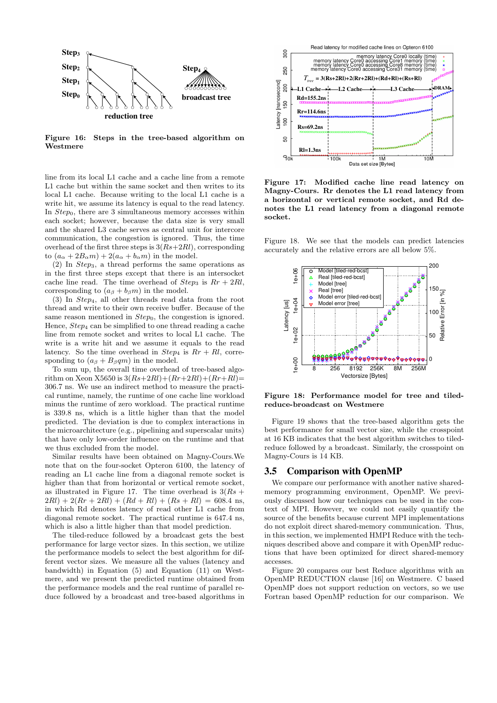

Figure 16: Steps in the tree-based algorithm on Westmere

line from its local L1 cache and a cache line from a remote L1 cache but within the same socket and then writes to its local L1 cache. Because writing to the local L1 cache is a write hit, we assume its latency is equal to the read latency. In *Step*<sub>0</sub>, there are 3 simultaneous memory accesses within each socket; however, because the data size is very small and the shared L3 cache serves as central unit for intercore communication, the congestion is ignored. Thus, the time overhead of the first three steps is  $3(Rs+2Rl)$ , corresponding to  $(a_{\alpha} + 2B_{\alpha}m) + 2(a_{\alpha} + b_{\alpha}m)$  in the model.

 $(2)$  In *Step*<sub>3</sub>, a thread performs the same operations as in the first three steps except that there is an intersocket cache line read. The time overhead of  $Step_3$  is  $Rr + 2Rl$ , corresponding to  $(a<sub>\beta</sub> + b<sub>\beta</sub>m)$  in the model.

(3) In Step4, all other threads read data from the root thread and write to their own receive buffer. Because of the same reason mentioned in  $Step_0$ , the congestion is ignored. Hence, Step<sup>4</sup> can be simplified to one thread reading a cache line from remote socket and writes to local L1 cache. The write is a write hit and we assume it equals to the read latency. So the time overhead in  $Step_4$  is  $Rr + Rl$ , corresponding to  $(a<sub>\beta</sub> + B<sub>\beta</sub>qm)$  in the model.

To sum up, the overall time overhead of tree-based algorithm on Xeon X5650 is  $3(Rs+2Rl)+(Rr+2Rl)+(Rr+Rl)=$ 306.7 ns. We use an indirect method to measure the practical runtime, namely, the runtime of one cache line workload minus the runtime of zero workload. The practical runtime is 339.8 ns, which is a little higher than that the model predicted. The deviation is due to complex interactions in the microarchitecture (e.g., pipelining and superscalar units) that have only low-order influence on the runtime and that we thus excluded from the model.

Similar results have been obtained on Magny-Cours.We note that on the four-socket Opteron 6100, the latency of reading an L1 cache line from a diagonal remote socket is higher than that from horizontal or vertical remote socket, as illustrated in Figure 17. The time overhead is  $3(Rs +$  $2Rl + 2(Rr + 2Rl) + (Rd + Rl) + (Rs + Rl) = 608.4$  ns, in which Rd denotes latency of read other L1 cache from diagonal remote socket. The practical runtime is 647.4 ns, which is also a little higher than that model prediction.

The tiled-reduce followed by a broadcast gets the best performance for large vector sizes. In this section, we utilize the performance models to select the best algorithm for different vector sizes. We measure all the values (latency and bandwidth) in Equation (5) and Equation (11) on Westmere, and we present the predicted runtime obtained from the performance models and the real runtime of parallel reduce followed by a broadcast and tree-based algorithms in



Figure 17: Modified cache line read latency on Magny-Cours. Rr denotes the L1 read latency from a horizontal or vertical remote socket, and Rd denotes the L1 read latency from a diagonal remote socket.

Figure 18. We see that the models can predict latencies accurately and the relative errors are all below 5%.



Figure 18: Performance model for tree and tiledreduce-broadcast on Westmere

Figure 19 shows that the tree-based algorithm gets the best performance for small vector size, while the crosspoint at 16 KB indicates that the best algorithm switches to tiledreduce followed by a broadcast. Similarly, the crosspoint on Magny-Cours is 14 KB.

## 3.5 Comparison with OpenMP

We compare our performance with another native sharedmemory programming environment, OpenMP. We previously discussed how our techniques can be used in the context of MPI. However, we could not easily quantify the source of the benefits because current MPI implementations do not exploit direct shared-memory communication. Thus, in this section, we implemented HMPI Reduce with the techniques described above and compare it with OpenMP reductions that have been optimized for direct shared-memory accesses.

Figure 20 compares our best Reduce algorithms with an OpenMP REDUCTION clause [16] on Westmere. C based OpenMP does not support reduction on vectors, so we use Fortran based OpenMP reduction for our comparison. We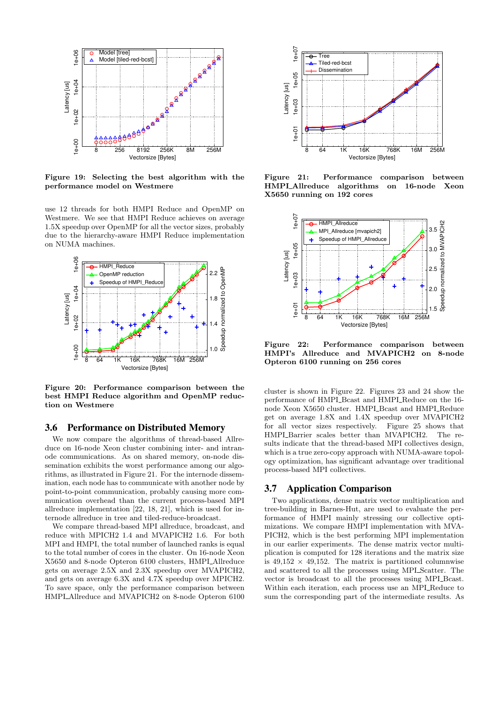

Figure 19: Selecting the best algorithm with the performance model on Westmere

use 12 threads for both HMPI Reduce and OpenMP on Westmere. We see that HMPI Reduce achieves on average 1.5X speedup over OpenMP for all the vector sizes, probably due to the hierarchy-aware HMPI Reduce implementation on NUMA machines.



Figure 20: Performance comparison between the best HMPI Reduce algorithm and OpenMP reduction on Westmere

#### 3.6 Performance on Distributed Memory

We now compare the algorithms of thread-based Allreduce on 16-node Xeon cluster combining inter- and intranode communications. As on shared memory, on-node dissemination exhibits the worst performance among our algorithms, as illustrated in Figure 21. For the internode dissemination, each node has to communicate with another node by point-to-point communication, probably causing more communication overhead than the current process-based MPI allreduce implementation [22, 18, 21], which is used for internode allreduce in tree and tiled-reduce-broadcast.

We compare thread-based MPI allreduce, broadcast, and reduce with MPICH2 1.4 and MVAPICH2 1.6. For both MPI and HMPI, the total number of launched ranks is equal to the total number of cores in the cluster. On 16-node Xeon X5650 and 8-node Opteron 6100 clusters, HMPI Allreduce gets on average 2.5X and 2.3X speedup over MVAPICH2, and gets on average 6.3X and 4.7X speedup over MPICH2. To save space, only the performance comparison between HMPLAllreduce and MVAPICH2 on 8-node Opteron 6100



Figure 21: Performance comparison between HMPLAllreduce algorithms on 16-node Xeon X5650 running on 192 cores



Figure 22: Performance comparison between HMPI's Allreduce and MVAPICH2 on 8-node Opteron 6100 running on 256 cores

cluster is shown in Figure 22. Figures 23 and 24 show the performance of HMPI\_Bcast and HMPI\_Reduce on the 16node Xeon X5650 cluster. HMPLBcast and HMPLReduce get on average 1.8X and 1.4X speedup over MVAPICH2 for all vector sizes respectively. Figure 25 shows that HMPL\_Barrier scales better than MVAPICH2. The results indicate that the thread-based MPI collectives design, which is a true zero-copy approach with NUMA-aware topology optimization, has significant advantage over traditional process-based MPI collectives.

#### 3.7 Application Comparison

Two applications, dense matrix vector multiplication and tree-building in Barnes-Hut, are used to evaluate the performance of HMPI mainly stressing our collective optimizations. We compare HMPI implementation with MVA-PICH2, which is the best performing MPI implementation in our earlier experiments. The dense matrix vector multiplication is computed for 128 iterations and the matrix size is  $49,152 \times 49,152$ . The matrix is partitioned columnwise and scattered to all the processes using MPI Scatter. The vector is broadcast to all the processes using MPI\_Bcast. Within each iteration, each process use an MPI<sub>-Reduce</sub> to sum the corresponding part of the intermediate results. As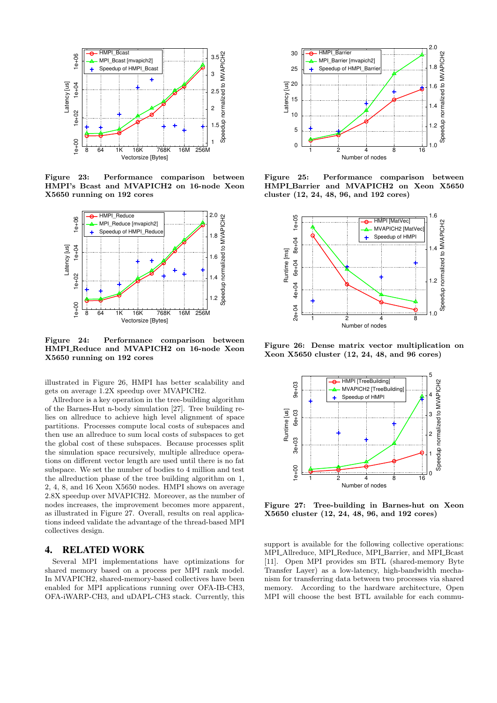

Figure 23: Performance comparison between HMPI's Bcast and MVAPICH2 on 16-node Xeon X5650 running on 192 cores



Figure 24: Performance comparison between HMPI Reduce and MVAPICH2 on 16-node Xeon X5650 running on 192 cores

illustrated in Figure 26, HMPI has better scalability and gets on average 1.2X speedup over MVAPICH2.

Allreduce is a key operation in the tree-building algorithm of the Barnes-Hut n-body simulation [27]. Tree building relies on allreduce to achieve high level alignment of space partitions. Processes compute local costs of subspaces and then use an allreduce to sum local costs of subspaces to get the global cost of these subspaces. Because processes split the simulation space recursively, multiple allreduce operations on different vector length are used until there is no fat subspace. We set the number of bodies to 4 million and test the allreduction phase of the tree building algorithm on 1, 2, 4, 8, and 16 Xeon X5650 nodes. HMPI shows on average 2.8X speedup over MVAPICH2. Moreover, as the number of nodes increases, the improvement becomes more apparent, as illustrated in Figure 27. Overall, results on real applications indeed validate the advantage of the thread-based MPI collectives design.

## 4. RELATED WORK

Several MPI implementations have optimizations for shared memory based on a process per MPI rank model. In MVAPICH2, shared-memory-based collectives have been enabled for MPI applications running over OFA-IB-CH3, OFA-iWARP-CH3, and uDAPL-CH3 stack. Currently, this



Figure 25: Performance comparison between HMPI\_Barrier and MVAPICH2 on Xeon X5650 cluster (12, 24, 48, 96, and 192 cores)



Figure 26: Dense matrix vector multiplication on Xeon X5650 cluster (12, 24, 48, and 96 cores)



Figure 27: Tree-building in Barnes-hut on Xeon X5650 cluster (12, 24, 48, 96, and 192 cores)

support is available for the following collective operations: MPLAllreduce, MPLReduce, MPLBarrier, and MPLBcast [11]. Open MPI provides sm BTL (shared-memory Byte Transfer Layer) as a low-latency, high-bandwidth mechanism for transferring data between two processes via shared memory. According to the hardware architecture, Open MPI will choose the best BTL available for each commu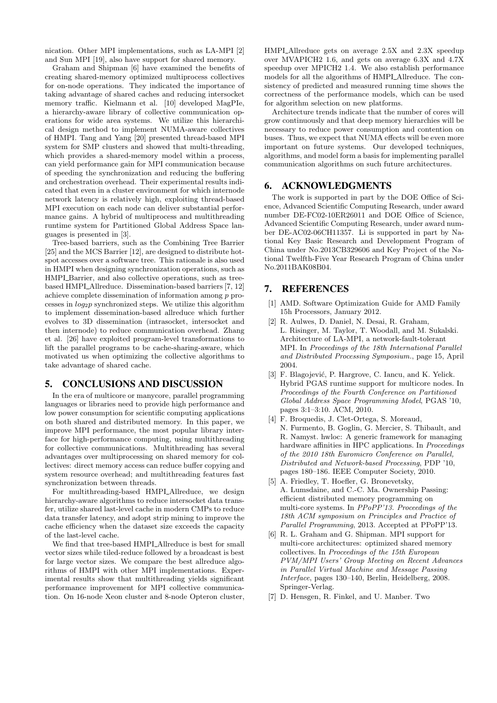nication. Other MPI implementations, such as LA-MPI [2] and Sun MPI [19], also have support for shared memory.

Graham and Shipman [6] have examined the benefits of creating shared-memory optimized multiprocess collectives for on-node operations. They indicated the importance of taking advantage of shared caches and reducing intersocket memory traffic. Kielmann et al. [10] developed MagPIe, a hierarchy-aware library of collective communication operations for wide area systems. We utilize this hierarchical design method to implement NUMA-aware collectives of HMPI. Tang and Yang [20] presented thread-based MPI system for SMP clusters and showed that multi-threading, which provides a shared-memory model within a process, can yield performance gain for MPI communication because of speeding the synchronization and reducing the buffering and orchestration overhead. Their experimental results indicated that even in a cluster environment for which internode network latency is relatively high, exploiting thread-based MPI execution on each node can deliver substantial performance gains. A hybrid of multiprocess and multithreading runtime system for Partitioned Global Address Space languages is presented in [3].

Tree-based barriers, such as the Combining Tree Barrier [25] and the MCS Barrier [12], are designed to distribute hotspot accesses over a software tree. This rationale is also used in HMPI when designing synchronization operations, such as HMPL Barrier, and also collective operations, such as treebased HMPI\_Allreduce. Dissemination-based barriers [7, 12] achieve complete dissemination of information among p processes in  $log_2p$  synchronized steps. We utilize this algorithm to implement dissemination-based allreduce which further evolves to 3D dissemination (intrasocket, intersocket and then internode) to reduce communication overhead. Zhang et al. [26] have exploited program-level transformations to lift the parallel programs to be cache-sharing-aware, which motivated us when optimizing the collective algorithms to take advantage of shared cache.

## 5. CONCLUSIONS AND DISCUSSION

In the era of multicore or manycore, parallel programming languages or libraries need to provide high performance and low power consumption for scientific computing applications on both shared and distributed memory. In this paper, we improve MPI performance, the most popular library interface for high-performance computing, using multithreading for collective communications. Multithreading has several advantages over multiprocessing on shared memory for collectives: direct memory access can reduce buffer copying and system resource overhead; and multithreading features fast synchronization between threads.

For multithreading-based HMPLAllreduce, we design hierarchy-aware algorithms to reduce intersocket data transfer, utilize shared last-level cache in modern CMPs to reduce data transfer latency, and adopt strip mining to improve the cache efficiency when the dataset size exceeds the capacity of the last-level cache.

We find that tree-based HMPI\_Allreduce is best for small vector sizes while tiled-reduce followed by a broadcast is best for large vector sizes. We compare the best allreduce algorithms of HMPI with other MPI implementations. Experimental results show that multithreading yields significant performance improvement for MPI collective communication. On 16-node Xeon cluster and 8-node Opteron cluster,

HMPLAllreduce gets on average 2.5X and 2.3X speedup over MVAPICH2 1.6, and gets on average 6.3X and 4.7X speedup over MPICH2 1.4. We also establish performance models for all the algorithms of HMPI Allreduce. The consistency of predicted and measured running time shows the correctness of the performance models, which can be used for algorithm selection on new platforms.

Architecture trends indicate that the number of cores will grow continuously and that deep memory hierarchies will be necessary to reduce power consumption and contention on buses. Thus, we expect that NUMA effects will be even more important on future systems. Our developed techniques, algorithms, and model form a basis for implementing parallel communication algorithms on such future architectures.

## 6. ACKNOWLEDGMENTS

The work is supported in part by the DOE Office of Science, Advanced Scientific Computing Research, under award number DE-FC02-10ER26011 and DOE Office of Science, Advanced Scientific Computing Research, under award number DE-AC02-06CH11357. Li is supported in part by National Key Basic Research and Development Program of China under No.2013CB329606 and Key Project of the National Twelfth-Five Year Research Program of China under No.2011BAK08B04.

# 7. REFERENCES

- [1] AMD. Software Optimization Guide for AMD Family 15h Processors, January 2012.
- [2] R. Aulwes, D. Daniel, N. Desai, R. Graham, L. Risinger, M. Taylor, T. Woodall, and M. Sukalski. Architecture of LA-MPI, a network-fault-tolerant MPI. In Proceedings of the 18th International Parallel and Distributed Processing Symposium., page 15, April 2004.
- [3] F. Blagojević, P. Hargrove, C. Iancu, and K. Yelick. Hybrid PGAS runtime support for multicore nodes. In Proceedings of the Fourth Conference on Partitioned Global Address Space Programming Model, PGAS '10, pages 3:1–3:10. ACM, 2010.
- [4] F. Broquedis, J. Clet-Ortega, S. Moreaud, N. Furmento, B. Goglin, G. Mercier, S. Thibault, and R. Namyst. hwloc: A generic framework for managing hardware affinities in HPC applications. In Proceedings of the 2010 18th Euromicro Conference on Parallel, Distributed and Network-based Processing, PDP '10, pages 180–186. IEEE Computer Society, 2010.
- [5] A. Friedley, T. Hoefler, G. Bronevetsky, A. Lumsdaine, and C.-C. Ma. Ownership Passing: efficient distributed memory programming on multi-core systems. In PPoPP'13. Proceedings of the 18th ACM symposium on Principles and Practice of Parallel Programming, 2013. Accepted at PPoPP'13.
- [6] R. L. Graham and G. Shipman. MPI support for multi-core architectures: optimized shared memory collectives. In Proceedings of the 15th European PVM/MPI Users' Group Meeting on Recent Advances in Parallel Virtual Machine and Message Passing Interface, pages 130–140, Berlin, Heidelberg, 2008. Springer-Verlag.
- [7] D. Hensgen, R. Finkel, and U. Manber. Two